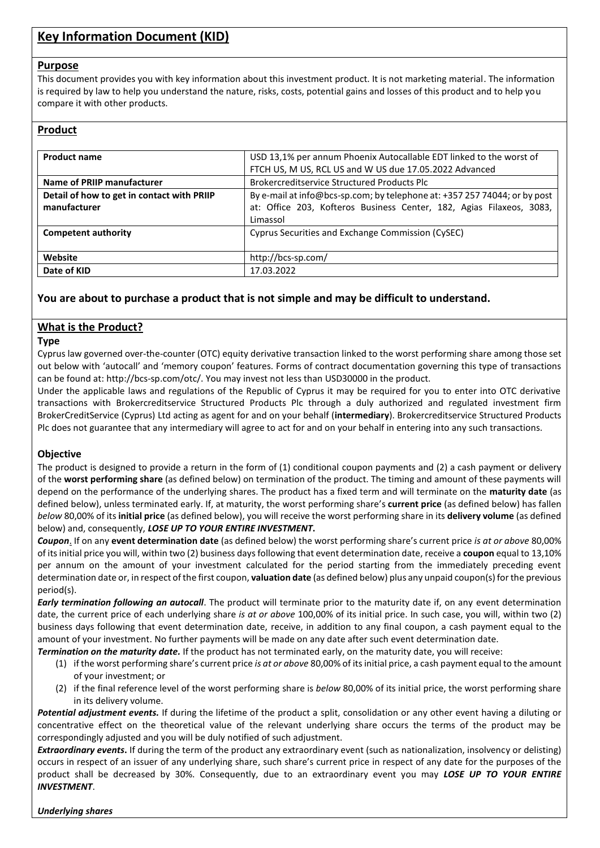# **Key Information Document (KID)**

#### **Purpose**

This document provides you with key information about this investment product. It is not marketing material. The information is required by law to help you understand the nature, risks, costs, potential gains and losses of this product and to help you compare it with other products.

# **Product**

| <b>Product name</b>                                                                                                     | USD 13,1% per annum Phoenix Autocallable EDT linked to the worst of  |
|-------------------------------------------------------------------------------------------------------------------------|----------------------------------------------------------------------|
|                                                                                                                         | FTCH US, M US, RCL US and W US due 17.05.2022 Advanced               |
| Name of PRIIP manufacturer                                                                                              | <b>Brokercreditservice Structured Products Plc</b>                   |
| By e-mail at info@bcs-sp.com; by telephone at: +357 257 74044; or by post<br>Detail of how to get in contact with PRIIP |                                                                      |
| manufacturer                                                                                                            | at: Office 203, Kofteros Business Center, 182, Agias Filaxeos, 3083, |
|                                                                                                                         | Limassol                                                             |
| <b>Competent authority</b>                                                                                              | Cyprus Securities and Exchange Commission (CySEC)                    |
|                                                                                                                         |                                                                      |
| Website                                                                                                                 | http://bcs-sp.com/                                                   |
| Date of KID                                                                                                             | 17.03.2022                                                           |

# **You are about to purchase a product that is not simple and may be difficult to understand.**

## **What is the Product?**

#### **Type**

Cyprus law governed over-the-counter (OTC) equity derivative transaction linked to the worst performing share among those set out below with 'autocall' and 'memory coupon' features. Forms of contract documentation governing this type of transactions can be found at: http://bcs-sp.com/otc/. You may invest not less than USD30000 in the product.

Under the applicable laws and regulations of the Republic of Cyprus it may be required for you to enter into OTC derivative transactions with Brokercreditservice Structured Products Plc through a duly authorized and regulated investment firm BrokerCreditService (Cyprus) Ltd acting as agent for and on your behalf (**intermediary**). Brokercreditservice Structured Products Plc does not guarantee that any intermediary will agree to act for and on your behalf in entering into any such transactions.

## **Objective**

The product is designed to provide a return in the form of (1) conditional coupon payments and (2) a cash payment or delivery of the **worst performing share** (as defined below) on termination of the product. The timing and amount of these payments will depend on the performance of the underlying shares. The product has a fixed term and will terminate on the **maturity date** (as defined below), unless terminated early. If, at maturity, the worst performing share's **current price** (as defined below) has fallen *below* 80,00% of its **initial price** (as defined below), you will receive the worst performing share in its **delivery volume** (as defined below) and, consequently, *LOSE UP TO YOUR ENTIRE INVESTMENT***.**

*Coupon*. If on any **event determination date** (as defined below) the worst performing share's current price *is at or above* 80,00% of its initial price you will, within two (2) business days following that event determination date, receive a **coupon** equal to 13,10% per annum on the amount of your investment calculated for the period starting from the immediately preceding event determination date or, in respect of the first coupon, **valuation date** (as defined below) plus any unpaid coupon(s) for the previous period(s).

*Early termination following an autocall*. The product will terminate prior to the maturity date if, on any event determination date, the current price of each underlying share *is at or above* 100,00% of its initial price. In such case, you will, within two (2) business days following that event determination date, receive, in addition to any final coupon, a cash payment equal to the amount of your investment. No further payments will be made on any date after such event determination date.

*Termination on the maturity date.* If the product has not terminated early, on the maturity date, you will receive:

- (1) if the worst performing share's current price *is at or above* 80,00% of its initial price, a cash payment equal to the amount of your investment; or
- (2) if the final reference level of the worst performing share is *below* 80,00% of its initial price, the worst performing share in its delivery volume.

*Potential adjustment events.* If during the lifetime of the product a split, consolidation or any other event having a diluting or concentrative effect on the theoretical value of the relevant underlying share occurs the terms of the product may be correspondingly adjusted and you will be duly notified of such adjustment.

*Extraordinary events***.** If during the term of the product any extraordinary event (such as nationalization, insolvency or delisting) occurs in respect of an issuer of any underlying share, such share's current price in respect of any date for the purposes of the product shall be decreased by 30%. Consequently, due to an extraordinary event you may *LOSE UP TO YOUR ENTIRE INVESTMENT*.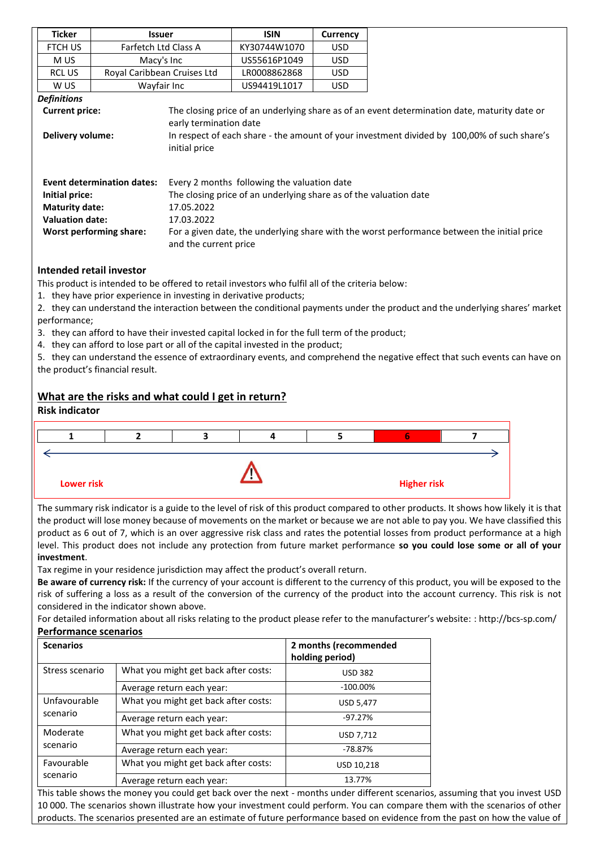|                                                                                                                                     | <b>Ticker</b>                                                                                                                     | <b>Issuer</b>                                      |                                                                                             | <b>ISIN</b>                                                                                      | <b>Currency</b> |                                                                                                                                       |  |
|-------------------------------------------------------------------------------------------------------------------------------------|-----------------------------------------------------------------------------------------------------------------------------------|----------------------------------------------------|---------------------------------------------------------------------------------------------|--------------------------------------------------------------------------------------------------|-----------------|---------------------------------------------------------------------------------------------------------------------------------------|--|
|                                                                                                                                     | FTCH US                                                                                                                           | Farfetch Ltd Class A                               |                                                                                             | KY30744W1070                                                                                     | <b>USD</b>      |                                                                                                                                       |  |
|                                                                                                                                     | M US                                                                                                                              | Macy's Inc                                         |                                                                                             | US55616P1049                                                                                     | <b>USD</b>      |                                                                                                                                       |  |
|                                                                                                                                     | RCL US                                                                                                                            | Royal Caribbean Cruises Ltd                        |                                                                                             | LR0008862868                                                                                     | <b>USD</b>      |                                                                                                                                       |  |
|                                                                                                                                     | W US                                                                                                                              | Wayfair Inc                                        |                                                                                             | US94419L1017                                                                                     | <b>USD</b>      |                                                                                                                                       |  |
|                                                                                                                                     | <b>Definitions</b>                                                                                                                |                                                    |                                                                                             |                                                                                                  |                 |                                                                                                                                       |  |
|                                                                                                                                     | <b>Current price:</b>                                                                                                             |                                                    |                                                                                             |                                                                                                  |                 | The closing price of an underlying share as of an event determination date, maturity date or                                          |  |
|                                                                                                                                     |                                                                                                                                   |                                                    | early termination date                                                                      |                                                                                                  |                 |                                                                                                                                       |  |
|                                                                                                                                     | Delivery volume:                                                                                                                  |                                                    | In respect of each share - the amount of your investment divided by 100,00% of such share's |                                                                                                  |                 |                                                                                                                                       |  |
|                                                                                                                                     |                                                                                                                                   |                                                    | initial price                                                                               |                                                                                                  |                 |                                                                                                                                       |  |
|                                                                                                                                     |                                                                                                                                   |                                                    |                                                                                             |                                                                                                  |                 |                                                                                                                                       |  |
|                                                                                                                                     |                                                                                                                                   | <b>Event determination dates:</b>                  |                                                                                             | Every 2 months following the valuation date                                                      |                 |                                                                                                                                       |  |
|                                                                                                                                     | Initial price:                                                                                                                    |                                                    |                                                                                             | The closing price of an underlying share as of the valuation date                                |                 |                                                                                                                                       |  |
|                                                                                                                                     | <b>Maturity date:</b>                                                                                                             |                                                    | 17.05.2022                                                                                  |                                                                                                  |                 |                                                                                                                                       |  |
|                                                                                                                                     | <b>Valuation date:</b>                                                                                                            |                                                    | 17.03.2022                                                                                  |                                                                                                  |                 |                                                                                                                                       |  |
|                                                                                                                                     |                                                                                                                                   | <b>Worst performing share:</b>                     |                                                                                             |                                                                                                  |                 | For a given date, the underlying share with the worst performance between the initial price                                           |  |
|                                                                                                                                     |                                                                                                                                   |                                                    | and the current price                                                                       |                                                                                                  |                 |                                                                                                                                       |  |
|                                                                                                                                     |                                                                                                                                   |                                                    |                                                                                             |                                                                                                  |                 |                                                                                                                                       |  |
|                                                                                                                                     |                                                                                                                                   | <b>Intended retail investor</b>                    |                                                                                             |                                                                                                  |                 |                                                                                                                                       |  |
|                                                                                                                                     |                                                                                                                                   |                                                    |                                                                                             | This product is intended to be offered to retail investors who fulfil all of the criteria below: |                 |                                                                                                                                       |  |
|                                                                                                                                     |                                                                                                                                   |                                                    |                                                                                             | 1. they have prior experience in investing in derivative products;                               |                 |                                                                                                                                       |  |
|                                                                                                                                     |                                                                                                                                   |                                                    |                                                                                             |                                                                                                  |                 | 2. they can understand the interaction between the conditional payments under the product and the underlying shares' market           |  |
|                                                                                                                                     | performance;                                                                                                                      |                                                    |                                                                                             |                                                                                                  |                 |                                                                                                                                       |  |
|                                                                                                                                     |                                                                                                                                   |                                                    |                                                                                             | 3. they can afford to have their invested capital locked in for the full term of the product;    |                 |                                                                                                                                       |  |
|                                                                                                                                     |                                                                                                                                   |                                                    |                                                                                             | 4. they can afford to lose part or all of the capital invested in the product;                   |                 |                                                                                                                                       |  |
|                                                                                                                                     |                                                                                                                                   |                                                    |                                                                                             |                                                                                                  |                 | 5. they can understand the essence of extraordinary events, and comprehend the negative effect that such events can have on           |  |
|                                                                                                                                     |                                                                                                                                   | the product's financial result.                    |                                                                                             |                                                                                                  |                 |                                                                                                                                       |  |
|                                                                                                                                     |                                                                                                                                   |                                                    |                                                                                             |                                                                                                  |                 |                                                                                                                                       |  |
|                                                                                                                                     |                                                                                                                                   | What are the risks and what could I get in return? |                                                                                             |                                                                                                  |                 |                                                                                                                                       |  |
|                                                                                                                                     | <b>Risk indicator</b>                                                                                                             |                                                    |                                                                                             |                                                                                                  |                 |                                                                                                                                       |  |
|                                                                                                                                     |                                                                                                                                   |                                                    |                                                                                             |                                                                                                  |                 |                                                                                                                                       |  |
|                                                                                                                                     | 1                                                                                                                                 | $\mathbf{2}$                                       | 3                                                                                           | 4                                                                                                | 5               | 6<br>7                                                                                                                                |  |
|                                                                                                                                     |                                                                                                                                   |                                                    |                                                                                             |                                                                                                  |                 |                                                                                                                                       |  |
|                                                                                                                                     |                                                                                                                                   |                                                    |                                                                                             |                                                                                                  |                 |                                                                                                                                       |  |
|                                                                                                                                     | <b>Lower risk</b>                                                                                                                 |                                                    |                                                                                             |                                                                                                  |                 | <b>Higher risk</b>                                                                                                                    |  |
|                                                                                                                                     |                                                                                                                                   |                                                    |                                                                                             |                                                                                                  |                 |                                                                                                                                       |  |
|                                                                                                                                     |                                                                                                                                   |                                                    |                                                                                             |                                                                                                  |                 | The summary risk indicator is a guide to the level of risk of this product compared to other products. It shows how likely it is that |  |
|                                                                                                                                     |                                                                                                                                   |                                                    |                                                                                             |                                                                                                  |                 | the product will lose money because of movements on the market or because we are not able to pay you. We have classified this         |  |
| product as 6 out of 7, which is an over aggressive risk class and rates the potential losses from product performance at a high     |                                                                                                                                   |                                                    |                                                                                             |                                                                                                  |                 |                                                                                                                                       |  |
| level. This product does not include any protection from future market performance so you could lose some or all of your            |                                                                                                                                   |                                                    |                                                                                             |                                                                                                  |                 |                                                                                                                                       |  |
| investment.                                                                                                                         |                                                                                                                                   |                                                    |                                                                                             |                                                                                                  |                 |                                                                                                                                       |  |
| Tax regime in your residence jurisdiction may affect the product's overall return.                                                  |                                                                                                                                   |                                                    |                                                                                             |                                                                                                  |                 |                                                                                                                                       |  |
| Be aware of currency risk: If the currency of your account is different to the currency of this product, you will be exposed to the |                                                                                                                                   |                                                    |                                                                                             |                                                                                                  |                 |                                                                                                                                       |  |
|                                                                                                                                     | risk of suffering a loss as a result of the conversion of the currency of the product into the account currency. This risk is not |                                                    |                                                                                             |                                                                                                  |                 |                                                                                                                                       |  |
|                                                                                                                                     | considered in the indicator shown above.                                                                                          |                                                    |                                                                                             |                                                                                                  |                 |                                                                                                                                       |  |
|                                                                                                                                     | For detailed information about all risks relating to the product please refer to the manufacturer's website: : http://bcs-sp.com/ |                                                    |                                                                                             |                                                                                                  |                 |                                                                                                                                       |  |
|                                                                                                                                     | <b>Performance scenarios</b>                                                                                                      |                                                    |                                                                                             |                                                                                                  |                 |                                                                                                                                       |  |
|                                                                                                                                     |                                                                                                                                   |                                                    |                                                                                             |                                                                                                  |                 |                                                                                                                                       |  |

| <b>Scenarios</b>         |                                      | 2 months (recommended<br>holding period) |
|--------------------------|--------------------------------------|------------------------------------------|
| Stress scenario          | What you might get back after costs: | <b>USD 382</b>                           |
|                          | Average return each year:            | $-100.00\%$                              |
| Unfavourable<br>scenario | What you might get back after costs: | <b>USD 5,477</b>                         |
|                          | Average return each year:            | $-97.27%$                                |
| Moderate<br>scenario     | What you might get back after costs: | USD 7,712                                |
|                          | Average return each year:            | $-78.87%$                                |
| Favourable<br>scenario   | What you might get back after costs: | USD 10,218                               |
|                          | Average return each year:            | 13.77%                                   |

This table shows the money you could get back over the next - months under different scenarios, assuming that you invest USD 10 000. The scenarios shown illustrate how your investment could perform. You can compare them with the scenarios of other products. The scenarios presented are an estimate of future performance based on evidence from the past on how the value of